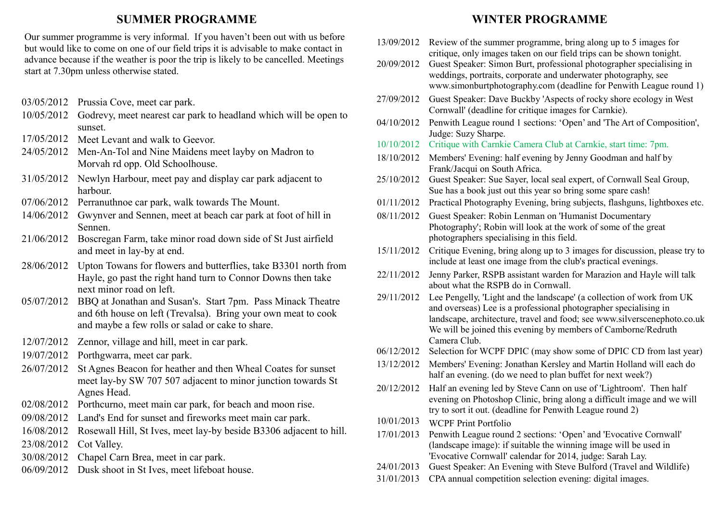## **SUMMER PROGRAMME**

Our summer programme is very informal. If you haven't been out with us before but would like to come on one of our field trips it is advisable to make contact in advance because if the weather is poor the trip is likely to be cancelled. Meetings start at 7.30pm unless otherwise stated.

- 03/05/2012 Prussia Cove, meet car park.
- 10/05/2012 Godrevy, meet nearest car park to headland which will be open to sunset.
- 17/05/2012 Meet Levant and walk to Geevor.
- 24/05/2012 Men-An-Tol and Nine Maidens meet layby on Madron to Morvah rd opp. Old Schoolhouse.
- 31/05/2012 Newlyn Harbour, meet pay and display car park adjacent to harbour.
- 07/06/2012 Perranuthnoe car park, walk towards The Mount.
- 14/06/2012 Gwynver and Sennen, meet at beach car park at foot of hill in Sennen.
- 21/06/2012 Boscregan Farm, take minor road down side of St Just airfield and meet in lay-by at end.
- 28/06/2012 Upton Towans for flowers and butterflies, take B3301 north from Hayle, go past the right hand turn to Connor Downs then take next minor road on left.
- 05/07/2012 BBQ at Jonathan and Susan's. Start 7pm. Pass Minack Theatre and 6th house on left (Trevalsa). Bring your own meat to cook and maybe a few rolls or salad or cake to share.
- 12/07/2012 Zennor, village and hill, meet in car park.
- 19/07/2012 Porthgwarra, meet car park.
- 26/07/2012 St Agnes Beacon for heather and then Wheal Coates for sunset meet lay-by SW 707 507 adjacent to minor junction towards St Agnes Head.
- 02/08/2012 Porthcurno, meet main car park, for beach and moon rise.
- 09/08/2012 Land's End for sunset and fireworks meet main car park.
- 16/08/2012 Rosewall Hill, St Ives, meet lay-by beside B3306 adjacent to hill.
- 23/08/2012 Cot Valley.
- 30/08/2012 Chapel Carn Brea, meet in car park.
- 06/09/2012 Dusk shoot in St Ives, meet lifeboat house.

# **WINTER PROGRAMME**

- 13/09/2012 Review of the summer programme, bring along up to 5 images for critique, only images taken on our field trips can be shown tonight. 20/09/2012 Guest Speaker: Simon Burt, professional photographer specialising in weddings, portraits, corporate and underwater photography, see www.simonburtphotography.com (deadline for Penwith League round 1) 27/09/2012 Guest Speaker: Dave Buckby 'Aspects of rocky shore ecology in West Cornwall' (deadline for critique images for Carnkie). 04/10/2012 Penwith League round 1 sections: 'Open' and 'The Art of Composition', Judge: Suzy Sharpe. 10/10/2012 Critique with Carnkie Camera Club at Carnkie, start time: 7pm. 18/10/2012 Members' Evening: half evening by Jenny Goodman and half by Frank/Jacqui on South Africa. 25/10/2012 Guest Speaker: Sue Sayer, local seal expert, of Cornwall Seal Group, Sue has a book just out this year so bring some spare cash! 01/11/2012 Practical Photography Evening, bring subjects, flashguns, lightboxes etc. 08/11/2012 Guest Speaker: Robin Lenman on 'Humanist Documentary Photography'; Robin will look at the work of some of the great photographers specialising in this field. 15/11/2012 Critique Evening, bring along up to 3 images for discussion, please try to include at least one image from the club's practical evenings. 22/11/2012 Jenny Parker, RSPB assistant warden for Marazion and Hayle will talk about what the RSPB do in Cornwall. 29/11/2012 Lee Pengelly, 'Light and the landscape' (a collection of work from UK and overseas) Lee is a professional photographer specialising in landscape, architecture, travel and food; see www.silverscenephoto.co.uk We will be joined this evening by members of Camborne/Redruth Camera Club. 06/12/2012 Selection for WCPF DPIC (may show some of DPIC CD from last year) 13/12/2012 Members' Evening: Jonathan Kersley and Martin Holland will each do half an evening. (do we need to plan buffet for next week?) 20/12/2012 Half an evening led by Steve Cann on use of 'Lightroom'. Then half evening on Photoshop Clinic, bring along a difficult image and we will try to sort it out. (deadline for Penwith League round 2)
	- 10/01/2013 WCPF Print Portfolio
	- 17/01/2013 Penwith League round 2 sections: 'Open' and 'Evocative Cornwall' (landscape image): if suitable the winning image will be used in 'Evocative Cornwall' calendar for 2014, judge: Sarah Lay.
	- 24/01/2013 Guest Speaker: An Evening with Steve Bulford (Travel and Wildlife)
	- 31/01/2013 CPA annual competition selection evening: digital images.